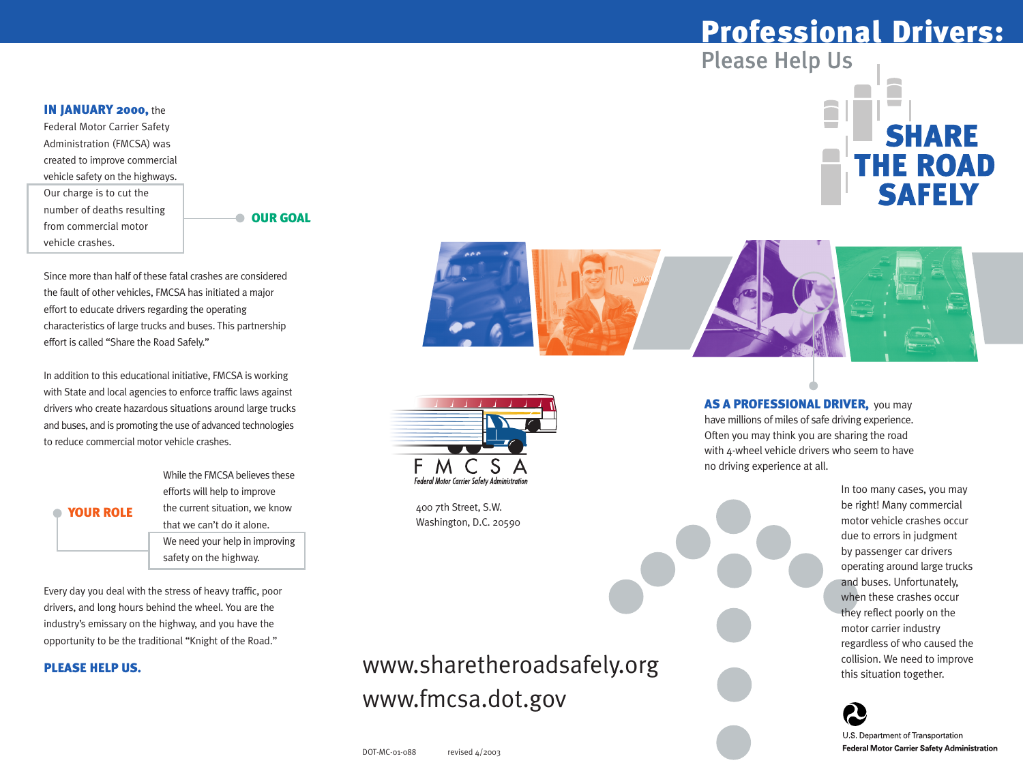#### **IN JANUARY 2000, the**

Federal Motor Carrier Safety Administration (FMCSA) was created to improve commercial vehicle safety on the highways. Our charge is to cut the number of deaths resulting from commercial motor vehicle crashes.

OUR GOAL

Since more than half of these fatal crashes are considered the fault of other vehicles, FMCSA has initiated a major effort to educate drivers regarding the operating characteristics of large trucks and buses. This partnership effort is called "Share the Road Safely."

In addition to this educational initiative, FMCSA is working with State and local agencies to enforce traffic laws against drivers who create hazardous situations around large trucks and buses, and is promoting the use of advanced technologies to reduce commercial motor vehicle crashes.

> While the FMCSA believes these efforts will help to improve the current situation, we know that we can't do it alone. We need your help in improving safety on the highway.

Every day you deal with the stress of heavy traffic, poor drivers, and long hours behind the wheel. You are the industry's emissary on the highway, and you have the opportunity to be the traditional "Knight of the Road."

#### PLEASE HELP US.

**• YOUR ROLE** 

www.sharetheroadsafely.org www.fmcsa.dot.gov

DOT-MC-01-088 revised 4/2003

## Professional Drivers:

Please Help Us







400 7th Street, S.W. Washington, D.C. 20590

#### AS A PROFESSIONAL DRIVER, you may have millions of miles of safe driving experience. Often you may think you are sharing the road with 4-wheel vehicle drivers who seem to have no driving experience at all.

In too many cases, you may be right! Many commercial motor vehicle crashes occur due to errors in judgment by passenger car drivers operating around large trucks and buses. Unfortunately, when these crashes occur they reflect poorly on the motor carrier industry regardless of who caused the collision. We need to improve this situation together.



**Federal Motor Carrier Safety Administration**